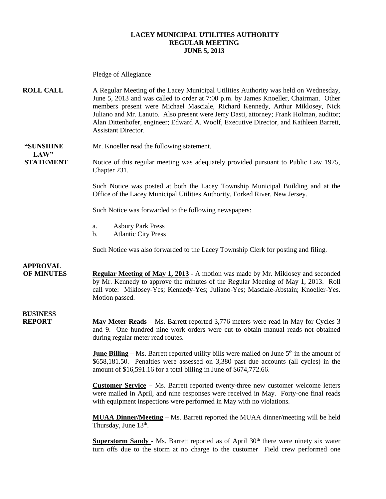#### **LACEY MUNICIPAL UTILITIES AUTHORITY REGULAR MEETING JUNE 5, 2013**

Pledge of Allegiance **ROLL CALL** A Regular Meeting of the Lacey Municipal Utilities Authority was held on Wednesday, June 5, 2013 and was called to order at 7:00 p.m. by James Knoeller, Chairman. Other members present were Michael Masciale, Richard Kennedy, Arthur Miklosey, Nick Juliano and Mr. Lanuto. Also present were Jerry Dasti, attorney; Frank Holman, auditor; Alan Dittenhofer, engineer; Edward A. Woolf, Executive Director, and Kathleen Barrett, Assistant Director. **"SUNSHINE** Mr. Knoeller read the following statement.  $LAW"$ **STATEMENT** Notice of this regular meeting was adequately provided pursuant to Public Law 1975, Chapter 231. Such Notice was posted at both the Lacey Township Municipal Building and at the Office of the Lacey Municipal Utilities Authority, Forked River, New Jersey. Such Notice was forwarded to the following newspapers: a. Asbury Park Press b. Atlantic City Press Such Notice was also forwarded to the Lacey Township Clerk for posting and filing. **APPROVAL OF MINUTES Regular Meeting of May 1, 2013 -** A motion was made by Mr. Miklosey and seconded by Mr. Kennedy to approve the minutes of the Regular Meeting of May 1, 2013. Roll call vote: Miklosey-Yes; Kennedy-Yes; Juliano-Yes; Masciale-Abstain; Knoeller-Yes. Motion passed. **BUSINESS REPORT May Meter Reads** – Ms. Barrett reported 3,776 meters were read in May for Cycles 3 and 9. One hundred nine work orders were cut to obtain manual reads not obtained during regular meter read routes. **June Billing** – Ms. Barrett reported utility bills were mailed on June 5<sup>th</sup> in the amount of \$658,181.50. Penalties were assessed on 3,380 past due accounts (all cycles) in the amount of \$16,591.16 for a total billing in June of \$674,772.66. **Customer Service –** Ms. Barrett reported twenty-three new customer welcome letters were mailed in April, and nine responses were received in May. Forty-one final reads with equipment inspections were performed in May with no violations. **MUAA Dinner/Meeting** – Ms. Barrett reported the MUAA dinner/meeting will be held Thursday, June 13<sup>th</sup>.

**Superstorm Sandy** - Ms. Barrett reported as of April 30<sup>th</sup> there were ninety six water turn offs due to the storm at no charge to the customer Field crew performed one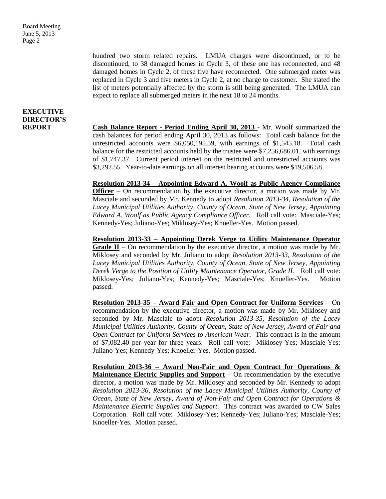Board Meeting June 5, 2013 Page 2

> hundred two storm related repairs. LMUA charges were discontinued, or to be discontinued, to 38 damaged homes in Cycle 3, of these one has reconnected, and 48 damaged homes in Cycle 2, of these five have reconnected. One submerged meter was replaced in Cycle 3 and five meters in Cycle 2, at no charge to customer. She stated the list of meters potentially affected by the storm is still being generated. The LMUA can expect to replace all submerged meters in the next 18 to 24 months.

### **EXECUTIVE DIRECTOR'S**

**REPORT Cash Balance Report - Period Ending April 30, 2013** - Mr. Woolf summarized the cash balances for period ending April 30, 2013 as follows: Total cash balance for the unrestricted accounts were \$6,050,195.59, with earnings of \$1,545.18. Total cash balance for the restricted accounts held by the trustee were \$7,256,686.01, with earnings of \$1,747.37. Current period interest on the restricted and unrestricted accounts was \$3,292.55. Year-to-date earnings on all interest bearing accounts were \$19,506.58.

> **Resolution 2013-34 – Appointing Edward A. Woolf as Public Agency Compliance Officer** – On recommendation by the executive director, a motion was made by Mr. Masciale and seconded by Mr. Kennedy to adopt *Resolution 2013-34, Resolution of the Lacey Municipal Utilities Authority, County of Ocean, State of New Jersey, Appointing Edward A. Woolf as Public Agency Compliance Officer.* Roll call vote: Masciale-Yes; Kennedy-Yes; Juliano-Yes; Miklosey-Yes; Knoeller-Yes. Motion passed.

> **Resolution 2013-33 – Appointing Derek Verge to Utility Maintenance Operator Grade II** – On recommendation by the executive director, a motion was made by Mr. Miklosey and seconded by Mr. Juliano to adopt *Resolution 2013-33, Resolution of the Lacey Municipal Utilities Authority, County of Ocean, State of New Jersey, Appointing Derek Verge to the Position of Utility Maintenance Operator, Grade II.* Roll call vote: Miklosey-Yes; Juliano-Yes; Kennedy-Yes; Masciale-Yes; Knoeller-Yes. Motion passed.

> **Resolution 2013-35 – Award Fair and Open Contract for Uniform Services** – On recommendation by the executive director, a motion was made by Mr. Miklosey and seconded by Mr. Masciale to adopt *Resolution 2013-35, Resolution of the Lacey Municipal Utilities Authority, County of Ocean, State of New Jersey, Award of Fair and Open Contract for Uniform Services to American Wear.* This contract is in the amount of \$7,082.40 per year for three years. Roll call vote: Miklosey-Yes; Masciale-Yes; Juliano-Yes; Kennedy-Yes; Knoeller-Yes. Motion passed.

> **Resolution 2013-36 – Award Non-Fair and Open Contract for Operations & Maintenance Electric Supplies and Support** – On recommendation by the executive director, a motion was made by Mr. Miklosey and seconded by Mr. Kennedy to adopt *Resolution 2013-36, Resolution of the Lacey Municipal Utilities Authority, County of Ocean, State of New Jersey, Award of Non-Fair and Open Contract for Operations & Maintenance Electric Supplies and Support.* This contract was awarded to CW Sales Corporation. Roll call vote: Miklosey-Yes; Kennedy-Yes; Juliano-Yes; Masciale-Yes; Knoeller-Yes. Motion passed.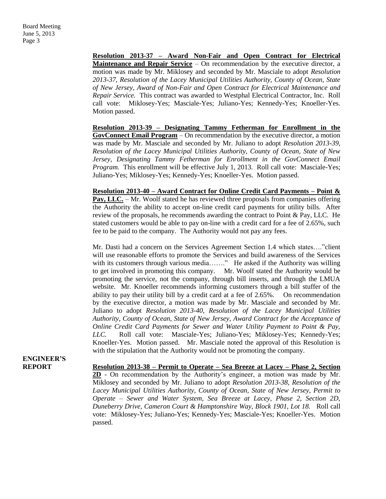**Resolution 2013-37 – Award Non-Fair and Open Contract for Electrical Maintenance and Repair Service** – On recommendation by the executive director, a motion was made by Mr. Miklosey and seconded by Mr. Masciale to adopt *Resolution 2013-37, Resolution of the Lacey Municipal Utilities Authority, County of Ocean, State of New Jersey, Award of Non-Fair and Open Contract for Electrical Maintenance and Repair Service.* This contract was awarded to Westphal Electrical Contractor, Inc. Roll call vote: Miklosey-Yes; Masciale-Yes; Juliano-Yes; Kennedy-Yes; Knoeller-Yes. Motion passed.

**Resolution 2013-39 – Designating Tammy Fetherman for Enrollment in the GovConnect Email Program** – On recommendation by the executive director, a motion was made by Mr. Masciale and seconded by Mr. Juliano to adopt *Resolution 2013-39, Resolution of the Lacey Municipal Utilities Authority, County of Ocean, State of New Jersey, Designating Tammy Fetherman for Enrollment in the GovConnect Email Program.* This enrollment will be effective July 1, 2013*.* Roll call vote: Masciale-Yes; Juliano-Yes; Miklosey-Yes; Kennedy-Yes; Knoeller-Yes. Motion passed.

**Resolution 2013-40 – Award Contract for Online Credit Card Payments – Point & Pay, LLC.** – Mr. Woolf stated he has reviewed three proposals from companies offering the Authority the ability to accept on-line credit card payments for utility bills. After review of the proposals, he recommends awarding the contract to Point & Pay, LLC. He stated customers would be able to pay on-line with a credit card for a fee of 2.65%, such fee to be paid to the company. The Authority would not pay any fees.

Mr. Dasti had a concern on the Services Agreement Section 1.4 which states…."client will use reasonable efforts to promote the Services and build awareness of the Services with its customers through various media......." He asked if the Authority was willing to get involved in promoting this company. Mr. Woolf stated the Authority would be promoting the service, not the company, through bill inserts, and through the LMUA website. Mr. Knoeller recommends informing customers through a bill stuffer of the ability to pay their utility bill by a credit card at a fee of 2.65%. On recommendation by the executive director, a motion was made by Mr. Masciale and seconded by Mr. Juliano to adopt *Resolution 2013-40, Resolution of the Lacey Municipal Utilities Authority, County of Ocean, State of New Jersey, Award Contract for the Acceptance of Online Credit Card Payments for Sewer and Water Utility Payment to Point & Pay, LLC.* Roll call vote: Masciale-Yes; Juliano-Yes; Miklosey-Yes; Kennedy-Yes; Knoeller-Yes. Motion passed. Mr. Masciale noted the approval of this Resolution is with the stipulation that the Authority would not be promoting the company.

**ENGINEER'S**

**REPORT Resolution 2013-38 – Permit to Operate – Sea Breeze at Lacey – Phase 2, Section 2D** - On recommendation by the Authority's engineer, a motion was made by Mr. Miklosey and seconded by Mr. Juliano to adopt *Resolution 2013-38, Resolution of the Lacey Municipal Utilities Authority, County of Ocean, State of New Jersey, Permit to Operate – Sewer and Water System, Sea Breeze at Lacey, Phase 2, Section 2D, Duneberry Drive, Cameron Court & Hamptonshire Way, Block 1901, Lot 18.* Roll call vote: Miklosey-Yes; Juliano-Yes; Kennedy-Yes; Masciale-Yes; Knoeller-Yes. Motion passed.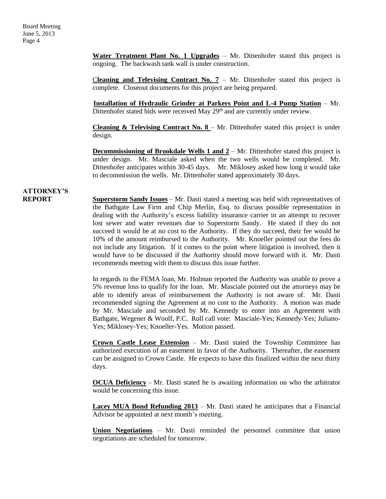**Water Treatment Plant No. 1 Upgrades** – Mr. Dittenhofer stated this project is ongoing. The backwash tank wall is under construction.

Cleaning and Televising Contract No.  $7 - Mr$ . Dittenhofer stated this project is complete. Closeout documents for this project are being prepared.

 **Installation of Hydraulic Grinder at Parkers Point and L-4 Pump Station** – Mr. Dittenhofer stated bids were received May 29<sup>th</sup> and are currently under review.

**Cleaning & Televising Contract No. 8** – Mr. Dittenhofer stated this project is under design.

**Decommissioning of Brookdale Wells 1 and 2** – Mr. Dittenhofer stated this project is under design. Mr. Masciale asked when the two wells would be completed. Mr. Dittenhofer anticipates within 30-45 days. Mr. Miklosey asked how long it would take to decommission the wells. Mr. Dittenhofer stated approximately 30 days.

### **ATTORNEY'S**

**REPORT Superstorm Sandy Issues** – Mr. Dasti stated a meeting was held with representatives of the Bathgate Law Firm and Chip Merlin, Esq. to discuss possible representation in dealing with the Authority's excess liability insurance carrier in an attempt to recover lost sewer and water revenues due to Superstorm Sandy. He stated if they do not succeed it would be at no cost to the Authority. If they do succeed, their fee would be 10% of the amount reimbursed to the Authority. Mr. Knoeller pointed out the fees do not include any litigation. If it comes to the point where litigation is involved, then it would have to be discussed if the Authority should move forward with it. Mr. Dasti recommends meeting with them to discuss this issue further.

> In regards to the FEMA loan, Mr. Holman reported the Authority was unable to prove a 5% revenue loss to qualify for the loan. Mr. Masciale pointed out the attorneys may be able to identify areas of reimbursement the Authority is not aware of. Mr. Dasti recommended signing the Agreement at no cost to the Authority. A motion was made by Mr. Masciale and seconded by Mr. Kennedy to enter into an Agreement with Bathgate, Wegener & Woolf, P.C. Roll call vote: Masciale-Yes; Kennedy-Yes; Juliano-Yes; Miklosey-Yes; Knoeller-Yes. Motion passed.

> **Crown Castle Lease Extension** – Mr. Dasti stated the Township Committee has authorized execution of an easement in favor of the Authority. Thereafter, the easement can be assigned to Crown Castle. He expects to have this finalized within the next thirty days.

> **OCUA Deficiency** - Mr. Dasti stated he is awaiting information on who the arbitrator would be concerning this issue.

> **Lacey MUA Bond Refunding 2013** – Mr. Dasti stated he anticipates that a Financial Advisor be appointed at next month's meeting.

> **Union Negotiations** – Mr. Dasti reminded the personnel committee that union negotiations are scheduled for tomorrow.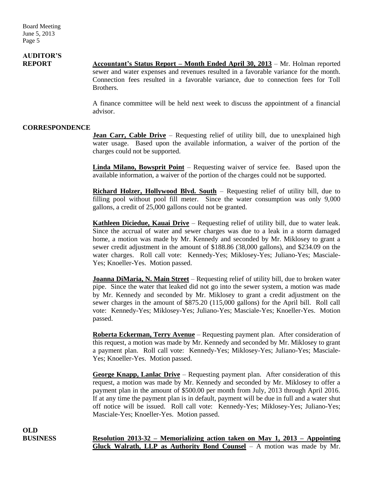# **AUDITOR'S**

**REPORT Accountant's Status Report – Month Ended April 30, 2013** – Mr. Holman reported sewer and water expenses and revenues resulted in a favorable variance for the month. Connection fees resulted in a favorable variance, due to connection fees for Toll Brothers.

> A finance committee will be held next week to discuss the appointment of a financial advisor.

#### **CORRESPONDENCE**

**Jean Carr, Cable Drive** – Requesting relief of utility bill, due to unexplained high water usage. Based upon the available information, a waiver of the portion of the charges could not be supported.

**Linda Milano, Bowsprit Point** – Requesting waiver of service fee. Based upon the available information, a waiver of the portion of the charges could not be supported.

**Richard Holzer, Hollywood Blvd. South** – Requesting relief of utility bill, due to filling pool without pool fill meter. Since the water consumption was only 9,000 gallons, a credit of 25,000 gallons could not be granted.

**Kathleen Diciedue, Kauai Drive** – Requesting relief of utility bill, due to water leak. Since the accrual of water and sewer charges was due to a leak in a storm damaged home, a motion was made by Mr. Kennedy and seconded by Mr. Miklosey to grant a sewer credit adjustment in the amount of \$188.86 (38,000 gallons), and \$234.09 on the water charges. Roll call vote: Kennedy-Yes; Miklosey-Yes; Juliano-Yes; Masciale-Yes; Knoeller-Yes. Motion passed.

**Joanna DiMaria, N. Main Street** – Requesting relief of utility bill, due to broken water pipe. Since the water that leaked did not go into the sewer system, a motion was made by Mr. Kennedy and seconded by Mr. Miklosey to grant a credit adjustment on the sewer charges in the amount of \$875.20 (115,000 gallons) for the April bill. Roll call vote: Kennedy-Yes; Miklosey-Yes; Juliano-Yes; Masciale-Yes; Knoeller-Yes. Motion passed.

**Roberta Eckerman, Terry Avenue** – Requesting payment plan. After consideration of this request, a motion was made by Mr. Kennedy and seconded by Mr. Miklosey to grant a payment plan. Roll call vote: Kennedy-Yes; Miklosey-Yes; Juliano-Yes; Masciale-Yes; Knoeller-Yes. Motion passed.

**George Knapp, Lanlac Drive** – Requesting payment plan. After consideration of this request, a motion was made by Mr. Kennedy and seconded by Mr. Miklosey to offer a payment plan in the amount of \$500.00 per month from July, 2013 through April 2016. If at any time the payment plan is in default, payment will be due in full and a water shut off notice will be issued. Roll call vote: Kennedy-Yes; Miklosey-Yes; Juliano-Yes; Masciale-Yes; Knoeller-Yes. Motion passed.

**OLD**

**BUSINESS Resolution 2013-32 – Memorializing action taken on May 1, 2013 – Appointing Gluck Walrath, LLP as Authority Bond Counsel** – A motion was made by Mr.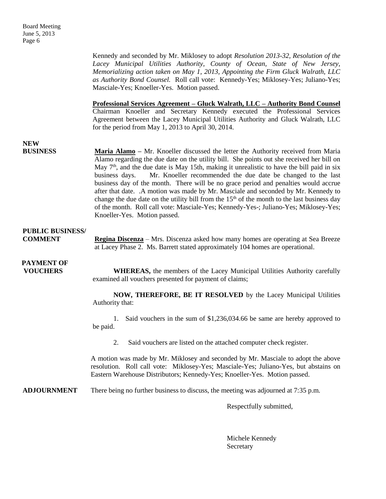Kennedy and seconded by Mr. Miklosey to adopt *Resolution 2013-32, Resolution of the Lacey Municipal Utilities Authority, County of Ocean, State of New Jersey, Memorializing action taken on May 1, 2013, Appointing the Firm Gluck Walrath, LLC as Authority Bond Counsel.* Roll call vote: Kennedy-Yes; Miklosey-Yes; Juliano-Yes; Masciale-Yes; Knoeller-Yes. Motion passed.

**Professional Services Agreement – Gluck Walrath, LLC – Authority Bond Counsel** Chairman Knoeller and Secretary Kennedy executed the Professional Services Agreement between the Lacey Municipal Utilities Authority and Gluck Walrath, LLC for the period from May 1, 2013 to April 30, 2014.

## **NEW**

**BUSINESS Maria Alamo** – Mr. Knoeller discussed the letter the Authority received from Maria Alamo regarding the due date on the utility bill. She points out she received her bill on May  $7<sup>th</sup>$ , and the due date is May 15th, making it unrealistic to have the bill paid in six business days. Mr. Knoeller recommended the due date be changed to the last business day of the month. There will be no grace period and penalties would accrue after that date. .A motion was made by Mr. Masciale and seconded by Mr. Kennedy to change the due date on the utility bill from the  $15<sup>th</sup>$  of the month to the last business day of the month. Roll call vote: Masciale-Yes; Kennedy-Yes-; Juliano-Yes; Miklosey-Yes; Knoeller-Yes. Motion passed.

### **PUBLIC BUSINESS/**

**COMMENT Regina Discenza** – Mrs. Discenza asked how many homes are operating at Sea Breeze at Lacey Phase 2. Ms. Barrett stated approximately 104 homes are operational.

# **PAYMENT OF**

**VOUCHERS** WHEREAS, the members of the Lacey Municipal Utilities Authority carefully examined all vouchers presented for payment of claims;

> **NOW, THEREFORE, BE IT RESOLVED** by the Lacey Municipal Utilities Authority that:

> 1. Said vouchers in the sum of \$1,236,034.66 be same are hereby approved to be paid.

2. Said vouchers are listed on the attached computer check register.

A motion was made by Mr. Miklosey and seconded by Mr. Masciale to adopt the above resolution. Roll call vote: Miklosey-Yes; Masciale-Yes; Juliano-Yes, but abstains on Eastern Warehouse Distributors; Kennedy-Yes; Knoeller-Yes. Motion passed.

**ADJOURNMENT** There being no further business to discuss, the meeting was adjourned at 7:35 p.m.

Respectfully submitted,

Michele Kennedy Secretary